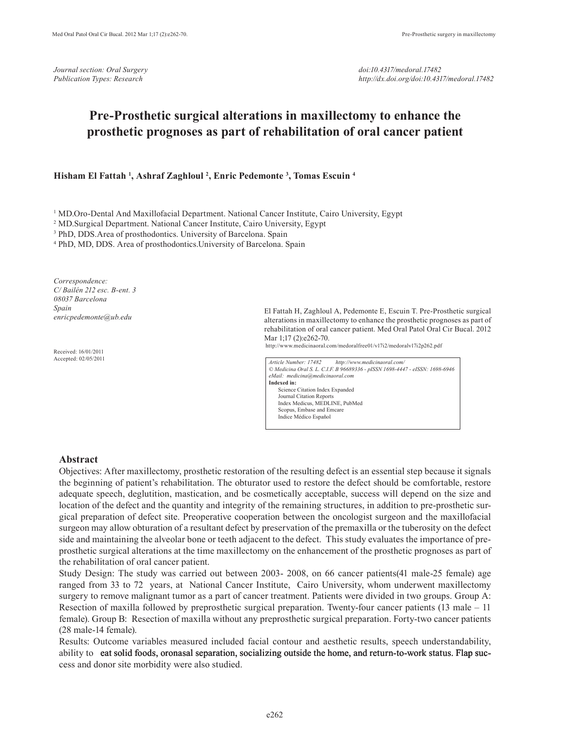*Journal section: Oral Surgery Publication Types: Research*

*doi:10.4317/medoral.17482 http://dx.doi.org/doi:10.4317/medoral.17482*

# **Pre-Prosthetic surgical alterations in maxillectomy to enhance the prosthetic prognoses as part of rehabilitation of oral cancer patient**

**Hisham El Fattah 1 , Ashraf Zaghloul 2 , Enric Pedemonte 3 , Tomas Escuin 4**

1 MD.Oro-Dental And Maxillofacial Department. National Cancer Institute, Cairo University, Egypt

<sup>2</sup> MD.Surgical Department. National Cancer Institute, Cairo University, Egypt

<sup>3</sup> PhD, DDS. Area of prosthodontics. University of Barcelona. Spain

4 PhD, MD, DDS. Area of prosthodontics.University of Barcelona. Spain

*Correspondence: C/ Bailén 212 esc. B-ent. 3 08037 Barcelona Spain enricpedemonte@ub.edu*

Received: 16/01/2011 Accepted: 02/05/2011

El Fattah H, Zaghloul A, Pedemonte E, Escuin T. Pre-Prosthetic surgical alterations in maxillectomy to enhance the prosthetic prognoses as part of rehabilitation of oral cancer patient. Med Oral Patol Oral Cir Bucal. 2012 Mar 1:17 (2):e262-70.

http://www.medicinaoral.com/medoralfree01/v17i2/medoralv17i2p262.pdf

*Article Number: 17482 http://www.medicinaoral.com/ © Medicina Oral S. L. C.I.F. B 96689336 - pISSN 1698-4447 - eISSN: 1698-6946 eMail: medicina@medicinaoral.com*  **Indexed in:**  Science Citation Index Expanded Journal Citation Reports Index Medicus, MEDLINE, PubMed Scopus, Embase and Emcare Indice Médico Español

#### **Abstract**

Objectives: After maxillectomy, prosthetic restoration of the resulting defect is an essential step because it signals the beginning of patient's rehabilitation. The obturator used to restore the defect should be comfortable, restore adequate speech, deglutition, mastication, and be cosmetically acceptable, success will depend on the size and location of the defect and the quantity and integrity of the remaining structures, in addition to pre-prosthetic surgical preparation of defect site. Preoperative cooperation between the oncologist surgeon and the maxillofacial surgeon may allow obturation of a resultant defect by preservation of the premaxilla or the tuberosity on the defect side and maintaining the alveolar bone or teeth adjacent to the defect. This study evaluates the importance of preprosthetic surgical alterations at the time maxillectomy on the enhancement of the prosthetic prognoses as part of the rehabilitation of oral cancer patient.

Study Design: The study was carried out between 2003- 2008, on 66 cancer patients(41 male-25 female) age ranged from 33 to 72 years, at National Cancer Institute, Cairo University, whom underwent maxillectomy surgery to remove malignant tumor as a part of cancer treatment. Patients were divided in two groups. Group A: Resection of maxilla followed by preprosthetic surgical preparation. Twenty-four cancer patients (13 male – 11 female). Group B: Resection of maxilla without any preprosthetic surgical preparation. Forty-two cancer patients (28 male-14 female).

Results: Outcome variables measured included facial contour and aesthetic results, speech understandability, ability to eat solid foods, oronasal separation, socializing outside the home, and return-to-work status. Flap success and donor site morbidity were also studied.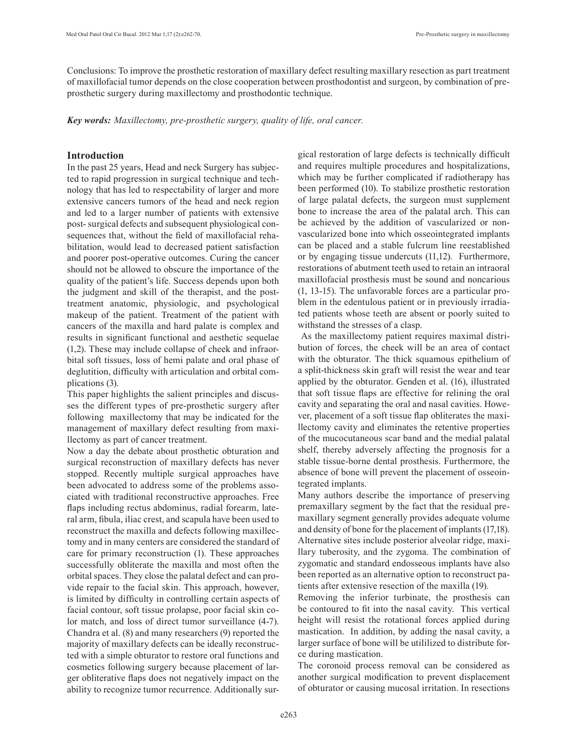Conclusions: To improve the prosthetic restoration of maxillary defect resulting maxillary resection as part treatment of maxillofacial tumor depends on the close cooperation between prosthodontist and surgeon, by combination of preprosthetic surgery during maxillectomy and prosthodontic technique.

*Key words: Maxillectomy, pre-prosthetic surgery, quality of life, oral cancer.*

# **Introduction**

In the past 25 years, Head and neck Surgery has subjected to rapid progression in surgical technique and technology that has led to respectability of larger and more extensive cancers tumors of the head and neck region and led to a larger number of patients with extensive post- surgical defects and subsequent physiological consequences that, without the field of maxillofacial rehabilitation, would lead to decreased patient satisfaction and poorer post-operative outcomes. Curing the cancer should not be allowed to obscure the importance of the quality of the patient's life. Success depends upon both the judgment and skill of the therapist, and the posttreatment anatomic, physiologic, and psychological makeup of the patient. Treatment of the patient with cancers of the maxilla and hard palate is complex and results in significant functional and aesthetic sequelae (1,2). These may include collapse of cheek and infraorbital soft tissues, loss of hemi palate and oral phase of deglutition, difficulty with articulation and orbital complications (3).

This paper highlights the salient principles and discusses the different types of pre-prosthetic surgery after following maxillectomy that may be indicated for the management of maxillary defect resulting from maxillectomy as part of cancer treatment.

Now a day the debate about prosthetic obturation and surgical reconstruction of maxillary defects has never stopped. Recently multiple surgical approaches have been advocated to address some of the problems associated with traditional reconstructive approaches. Free flaps including rectus abdominus, radial forearm, lateral arm, fibula, iliac crest, and scapula have been used to reconstruct the maxilla and defects following maxillectomy and in many centers are considered the standard of care for primary reconstruction (1). These approaches successfully obliterate the maxilla and most often the orbital spaces. They close the palatal defect and can provide repair to the facial skin. This approach, however, is limited by difficulty in controlling certain aspects of facial contour, soft tissue prolapse, poor facial skin color match, and loss of direct tumor surveillance (4-7). Chandra et al. (8) and many researchers (9) reported the majority of maxillary defects can be ideally reconstructed with a simple obturator to restore oral functions and cosmetics following surgery because placement of larger obliterative flaps does not negatively impact on the ability to recognize tumor recurrence. Additionally surgical restoration of large defects is technically difficult and requires multiple procedures and hospitalizations, which may be further complicated if radiotherapy has been performed (10). To stabilize prosthetic restoration of large palatal defects, the surgeon must supplement bone to increase the area of the palatal arch. This can be achieved by the addition of vascularized or nonvascularized bone into which osseointegrated implants can be placed and a stable fulcrum line reestablished or by engaging tissue undercuts (11,12). Furthermore, restorations of abutment teeth used to retain an intraoral maxillofacial prosthesis must be sound and noncarious (1, 13-15). The unfavorable forces are a particular problem in the edentulous patient or in previously irradiated patients whose teeth are absent or poorly suited to withstand the stresses of a clasp.

 As the maxillectomy patient requires maximal distribution of forces, the cheek will be an area of contact with the obturator. The thick squamous epithelium of a split-thickness skin graft will resist the wear and tear applied by the obturator. Genden et al. (16), illustrated that soft tissue flaps are effective for relining the oral cavity and separating the oral and nasal cavities. However, placement of a soft tissue flap obliterates the maxillectomy cavity and eliminates the retentive properties of the mucocutaneous scar band and the medial palatal shelf, thereby adversely affecting the prognosis for a stable tissue-borne dental prosthesis. Furthermore, the absence of bone will prevent the placement of osseointegrated implants.

Many authors describe the importance of preserving premaxillary segment by the fact that the residual premaxillary segment generally provides adequate volume and density of bone for the placement of implants (17,18). Alternative sites include posterior alveolar ridge, maxillary tuberosity, and the zygoma. The combination of zygomatic and standard endosseous implants have also been reported as an alternative option to reconstruct patients after extensive resection of the maxilla (19).

Removing the inferior turbinate, the prosthesis can be contoured to fit into the nasal cavity. This vertical height will resist the rotational forces applied during mastication. In addition, by adding the nasal cavity, a larger surface of bone will be utililized to distribute force during mastication.

The coronoid process removal can be considered as another surgical modification to prevent displacement of obturator or causing mucosal irritation. In resections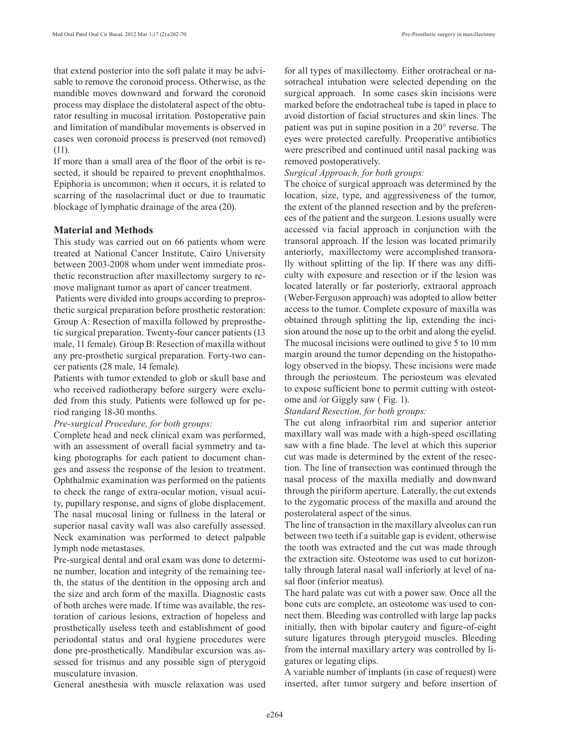that extend posterior into the soft palate it may be advisable to remove the coronoid process. Otherwise, as the mandible moves downward and forward the coronoid process may displace the distolateral aspect of the obturator resulting in mucosal irritation. Postoperative pain and limitation of mandibular movements is observed in cases wen coronoid process is preserved (not removed) (11).

If more than a small area of the floor of the orbit is resected, it should be repaired to prevent enophthalmos. Epiphoria is uncommon; when it occurs, it is related to scarring of the nasolacrimal duct or due to traumatic blockage of lymphatic drainage of the area (20).

# **Material and Methods**

This study was carried out on 66 patients whom were treated at National Cancer Institute, Cairo University between 2003-2008 whom under went immediate prosthetic reconstruction after maxillectomy surgery to remove malignant tumor as apart of cancer treatment.

 Patients were divided into groups according to preprosthetic surgical preparation before prosthetic restoration: Group A: Resection of maxilla followed by preprosthetic surgical preparation. Twenty-four cancer patients (13 male, 11 female). Group B: Resection of maxilla without any pre-prosthetic surgical preparation. Forty-two cancer patients (28 male, 14 female).

Patients with tumor extended to glob or skull base and who received radiotherapy before surgery were excluded from this study. Patients were followed up for period ranging 18-30 months.

## *Pre-surgical Procedure, for both groups:*

Complete head and neck clinical exam was performed, with an assessment of overall facial symmetry and ta king photographs for each patient to document changes and assess the response of the lesion to treatment. Ophthalmic examination was performed on the patients to check the range of extra-ocular motion, visual acuity, pupillary response, and signs of globe displacement. The nasal mucosal lining or fullness in the lateral or superior nasal cavity wall was also carefully assessed. Neck examination was performed to detect palpable lymph node metastases.

Pre-surgical dental and oral exam was done to determine number, location and integrity of the remaining teeth, the status of the dentition in the opposing arch and the size and arch form of the maxilla. Diagnostic casts of both arches were made. If time was available, the restoration of carious lesions, extraction of hopeless and prosthetically useless teeth and establishment of good periodontal status and oral hygiene procedures were done pre-prosthetically. Mandibular excursion was assessed for trismus and any possible sign of pterygoid musculature invasion.

General anesthesia with muscle relaxation was used

for all types of maxillectomy. Either orotracheal or nasotracheal intubation were selected depending on the surgical approach. In some cases skin incisions were marked before the endotracheal tube is taped in place to avoid distortion of facial structures and skin lines. The patient was put in supine position in a 20° reverse. The eyes were protected carefully. Preoperative antibiotics were prescribed and continued until nasal packing was removed postoperatively.

## *Surgical Approach, for both groups:*

The choice of surgical approach was determined by the location, size, type, and aggressiveness of the tumor, the extent of the planned resection and by the preferences of the patient and the surgeon. Lesions usually were accessed via facial approach in conjunction with the transoral approach. If the lesion was located primarily anteriorly, maxillectomy were accomplished transorally without splitting of the lip. If there was any difficulty with exposure and resection or if the lesion was located laterally or far posteriorly, extraoral approach (Weber-Ferguson approach) was adopted to allow better access to the tumor. Complete exposure of maxilla was obtained through splitting the lip, extending the incision around the nose up to the orbit and along the eyelid. The mucosal incisions were outlined to give 5 to 10 mm margin around the tumor depending on the histopathology observed in the biopsy. These incisions were made through the periosteum. The periosteum was elevated to expose sufficient bone to permit cutting with osteotome and /or Giggly saw ( Fig. 1).

*Standard Resection, for both groups:*

The cut along infraorbital rim and superior anterior maxillary wall was made with a high-speed oscillating saw with a fine blade. The level at which this superior cut was made is determined by the extent of the resection. The line of transection was continued through the nasal process of the maxilla medially and downward through the piriform aperture. Laterally, the cut extends to the zygomatic process of the maxilla and around the posterolateral aspect of the sinus.

The line of transaction in the maxillary alveolus can run between two teeth if a suitable gap is evident, otherwise the tooth was extracted and the cut was made through the extraction site. Osteotome was used to cut horizontally through lateral nasal wall inferiorly at level of nasal floor (inferior meatus).

The hard palate was cut with a power saw. Once all the bone cuts are complete, an osteotome was used to connect them. Bleeding was controlled with large lap packs initially, then with bipolar cautery and figure-of-eight suture ligatures through pterygoid muscles. Bleeding from the internal maxillary artery was controlled by ligatures or legating clips.

A variable number of implants (in case of request) were inserted, after tumor surgery and before insertion of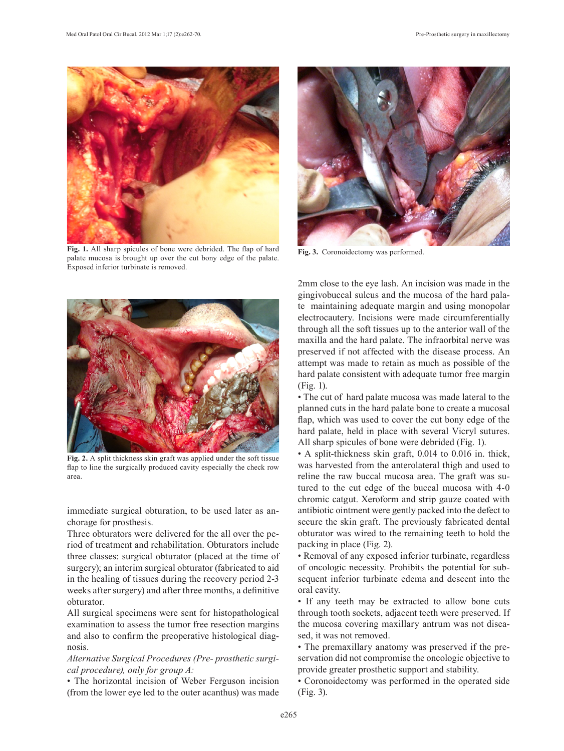

**Fig. 1.** All sharp spicules of bone were debrided. The flap of hard palate mucosa is brought up over the cut bony edge of the palate. Exposed inferior turbinate is removed.



**Fig. 3.**Coronoidectomy was performed.



**Fig. 2.** A split thickness skin graft was applied under the soft tissue flap to line the surgically produced cavity especially the check row area.

immediate surgical obturation, to be used later as anchorage for prosthesis.

Three obturators were delivered for the all over the period of treatment and rehabilitation. Obturators include three classes: surgical obturator (placed at the time of surgery); an interim surgical obturator (fabricated to aid in the healing of tissues during the recovery period 2-3 weeks after surgery) and after three months, a definitive obturator.

All surgical specimens were sent for histopathological examination to assess the tumor free resection margins and also to confirm the preoperative histological diagnosis.

*Alternative Surgical Procedures (Pre- prosthetic surgical procedure), only for group A:* 

• The horizontal incision of Weber Ferguson incision (from the lower eye led to the outer acanthus) was made 2mm close to the eye lash. An incision was made in the gingivobuccal sulcus and the mucosa of the hard palate maintaining adequate margin and using monopolar electrocautery. Incisions were made circumferentially through all the soft tissues up to the anterior wall of the maxilla and the hard palate. The infraorbital nerve was preserved if not affected with the disease process. An attempt was made to retain as much as possible of the hard palate consistent with adequate tumor free margin (Fig. 1).

• The cut of hard palate mucosa was made lateral to the planned cuts in the hard palate bone to create a mucosal flap, which was used to cover the cut bony edge of the hard palate, held in place with several Vicryl sutures. All sharp spicules of bone were debrided (Fig. 1).

• A split-thickness skin graft, 0.014 to 0.016 in. thick, was harvested from the anterolateral thigh and used to reline the raw buccal mucosa area. The graft was sutured to the cut edge of the buccal mucosa with 4-0 chromic catgut. Xeroform and strip gauze coated with antibiotic ointment were gently packed into the defect to secure the skin graft. The previously fabricated dental obturator was wired to the remaining teeth to hold the packing in place (Fig. 2).

• Removal of any exposed inferior turbinate, regardless of oncologic necessity. Prohibits the potential for subsequent inferior turbinate edema and descent into the oral cavity.

• If any teeth may be extracted to allow bone cuts through tooth sockets, adjacent teeth were preserved. If the mucosa covering maxillary antrum was not diseased, it was not removed.

• The premaxillary anatomy was preserved if the preservation did not compromise the oncologic objective to provide greater prosthetic support and stability.

• Coronoidectomy was performed in the operated side (Fig. 3).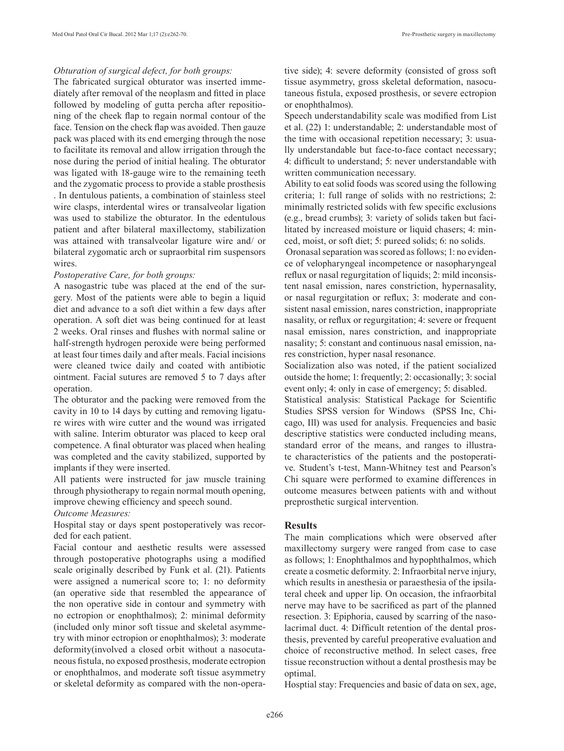## *Obturation of surgical defect, for both groups:*

The fabricated surgical obturator was inserted immediately after removal of the neoplasm and fitted in place followed by modeling of gutta percha after repositioning of the cheek flap to regain normal contour of the face. Tension on the check flap was avoided. Then gauze pack was placed with its end emerging through the nose to facilitate its removal and allow irrigation through the nose during the period of initial healing. The obturator was ligated with 18-gauge wire to the remaining teeth and the zygomatic process to provide a stable prosthesis . In dentulous patients, a combination of stainless steel wire clasps, interdental wires or transalveolar ligation was used to stabilize the obturator. In the edentulous patient and after bilateral maxillectomy, stabilization was attained with transalveolar ligature wire and/ or bilateral zygomatic arch or supraorbital rim suspensors wires.

#### *Postoperative Care, for both groups:*

A nasogastric tube was placed at the end of the surgery. Most of the patients were able to begin a liquid diet and advance to a soft diet within a few days after operation. A soft diet was being continued for at least 2 weeks. Oral rinses and flushes with normal saline or half-strength hydrogen peroxide were being performed at least four times daily and after meals. Facial incisions were cleaned twice daily and coated with antibiotic ointment. Facial sutures are removed 5 to 7 days after operation.

The obturator and the packing were removed from the cavity in 10 to 14 days by cutting and removing ligature wires with wire cutter and the wound was irrigated with saline. Interim obturator was placed to keep oral competence. A final obturator was placed when healing was completed and the cavity stabilized, supported by implants if they were inserted.

All patients were instructed for jaw muscle training through physiotherapy to regain normal mouth opening, improve chewing efficiency and speech sound.

## *Outcome Measures:*

Hospital stay or days spent postoperatively was recorded for each patient.

Facial contour and aesthetic results were assessed through postoperative photographs using a modified scale originally described by Funk et al. (21). Patients were assigned a numerical score to; 1: no deformity (an operative side that resembled the appearance of the non operative side in contour and symmetry with no ectropion or enophthalmos); 2: minimal deformity (included only minor soft tissue and skeletal asymmetry with minor ectropion or enophthalmos); 3: moderate deformity(involved a closed orbit without a nasocutaneous fistula, no exposed prosthesis, moderate ectropion or enophthalmos, and moderate soft tissue asymmetry or skeletal deformity as compared with the non-operative side); 4: severe deformity (consisted of gross soft tissue asymmetry, gross skeletal deformation, nasocutaneous fistula, exposed prosthesis, or severe ectropion or enophthalmos).

Speech understandability scale was modified from List et al. (22) 1: understandable; 2: understandable most of the time with occasional repetition necessary; 3: usually understandable but face-to-face contact necessary; 4: difficult to understand; 5: never understandable with written communication necessary.

Ability to eat solid foods was scored using the following criteria; 1: full range of solids with no restrictions; 2: minimally restricted solids with few specific exclusions (e.g., bread crumbs); 3: variety of solids taken but facilitated by increased moisture or liquid chasers; 4: minced, moist, or soft diet; 5: pureed solids; 6: no solids.

 Oronasal separation was scored as follows; 1: no evidence of velopharyngeal incompetence or nasopharyngeal reflux or nasal regurgitation of liquids; 2: mild inconsistent nasal emission, nares constriction, hypernasality, or nasal regurgitation or reflux; 3: moderate and consistent nasal emission, nares constriction, inappropriate nasality, or reflux or regurgitation; 4: severe or frequent nasal emission, nares constriction, and inappropriate nasality; 5: constant and continuous nasal emission, nares constriction, hyper nasal resonance.

Socialization also was noted, if the patient socialized outside the home; 1: frequently; 2: occasionally; 3: social event only; 4: only in case of emergency; 5: disabled.

Statistical analysis: Statistical Package for Scientific Studies SPSS version for Windows (SPSS Inc, Chicago, Ill) was used for analysis. Frequencies and basic descriptive statistics were conducted including means, standard error of the means, and ranges to illustrate characteristics of the patients and the postoperative. Student's t-test, Mann-Whitney test and Pearson's Chi square were performed to examine differences in outcome measures between patients with and without preprosthetic surgical intervention.

### **Results**

The main complications which were observed after maxillectomy surgery were ranged from case to case as follows; 1: Enophthalmos and hypophthalmos, which create a cosmetic deformity. 2: Infraorbital nerve injury, which results in anesthesia or paraesthesia of the ipsilateral cheek and upper lip. On occasion, the infraorbital nerve may have to be sacrificed as part of the planned resection. 3: Epiphoria, caused by scarring of the nasolacrimal duct. 4: Difficult retention of the dental prosthesis, prevented by careful preoperative evaluation and choice of reconstructive method. In select cases, free tissue reconstruction without a dental prosthesis may be optimal.

Hosptial stay: Frequencies and basic of data on sex, age,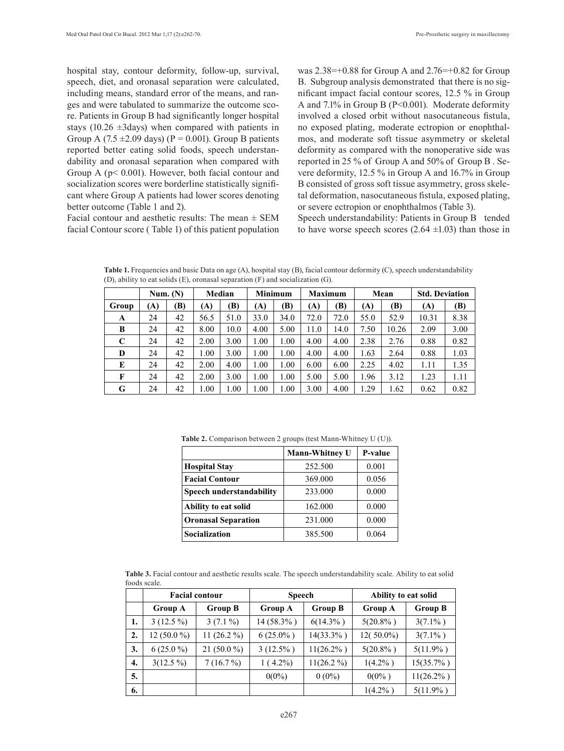hospital stay, contour deformity, follow-up, survival, speech, diet, and oronasal separation were calculated, including means, standard error of the means, and ranges and were tabulated to summarize the outcome score. Patients in Group B had significantly longer hospital stays (10.26  $\pm$ 3days) when compared with patients in Group A (7.5  $\pm$ 2.09 days) (P = 0.001). Group B patients reported better eating solid foods, speech understandability and oronasal separation when compared with Group A (p< 0.001). However, both facial contour and socialization scores were borderline statistically significant where Group A patients had lower scores denoting better outcome (Table 1 and 2).

Facial contour and aesthetic results: The mean  $\pm$  SEM facial Contour score ( Table 1) of this patient population was  $2.38=+0.88$  for Group A and  $2.76=+0.82$  for Group B. Subgroup analysis demonstrated that there is no significant impact facial contour scores, 12.5 % in Group A and 7.1% in Group B (P<0.001). Moderate deformity involved a closed orbit without nasocutaneous fistula, no exposed plating, moderate ectropion or enophthalmos, and moderate soft tissue asymmetry or skeletal deformity as compared with the nonoperative side was reported in 25 % of Group A and 50% of Group B . Severe deformity, 12.5 % in Group A and 16.7% in Group B consisted of gross soft tissue asymmetry, gross skeletal deformation, nasocutaneous fistula, exposed plating, or severe ectropion or enophthalmos (Table 3).

Speech understandability: Patients in Group B tended to have worse speech scores  $(2.64 \pm 1.03)$  than those in

**Table 1.** Frequencies and basic Data on age (A), hospital stay (B), facial contour deformity (C), speech understandability (D), ability to eat solids (E), oronasal separation (F) and socialization (G).

|       | Num. $(N)$ |     | Median   |      |      | <b>Minimum</b> |      | <b>Maximum</b> |      | Mean  | <b>Std. Deviation</b> |      |
|-------|------------|-----|----------|------|------|----------------|------|----------------|------|-------|-----------------------|------|
| Group | (A)        | (B) | (A)      | (B)  | (A)  | (B)            | (A)  | (B)            | (A)  | (B)   | (A)                   | (B)  |
| A     | 24         | 42  | 56.5     | 51.0 | 33.0 | 34.0           | 72.0 | 72.0           | 55.0 | 52.9  | 10.31                 | 8.38 |
| B     | 24         | 42  | 8.00     | 10.0 | 4.00 | 5.00           | 11.0 | 14.0           | 7.50 | 10.26 | 2.09                  | 3.00 |
| C     | 24         | 42  | 2.00     | 3.00 | 1.00 | 1.00           | 4.00 | 4.00           | 2.38 | 2.76  | 0.88                  | 0.82 |
| D     | 24         | 42  | 1.00     | 3.00 | 1.00 | 1.00           | 4.00 | 4.00           | 1.63 | 2.64  | 0.88                  | 1.03 |
| E     | 24         | 42  | 2.00     | 4.00 | 1.00 | 1.00           | 6.00 | 6.00           | 2.25 | 4.02  | 1.11                  | 1.35 |
| F     | 24         | 42  | 2.00     | 3.00 | 1.00 | 1.00           | 5.00 | 5.00           | 1.96 | 3.12  | 1.23                  | 1.11 |
| G     | 24         | 42  | $1.00\,$ | 1.00 | 1.00 | 1.00           | 3.00 | 4.00           | 1.29 | 1.62  | 0.62                  | 0.82 |

|                            | <b>Mann-Whitney U</b> | P-value |
|----------------------------|-----------------------|---------|
| <b>Hospital Stay</b>       | 252.500               | 0.001   |
| <b>Facial Contour</b>      | 369.000               | 0.056   |
| Speech understandability   | 233.000               | 0.000   |
| Ability to eat solid       | 162.000               | 0.000   |
| <b>Oronasal Separation</b> | 231.000               | 0.000   |
| <b>Socialization</b>       | 385.500               | 0.064   |

**Table 2.** Comparison between 2 groups (test Mann-Whitney U (U)).

**Table 3.** Facial contour and aesthetic results scale. The speech understandability scale. Ability to eat solid foods scale.

|    |                | <b>Facial contour</b> | <b>Speech</b>  |                | Ability to eat solid |                |  |
|----|----------------|-----------------------|----------------|----------------|----------------------|----------------|--|
|    | <b>Group A</b> | <b>Group B</b>        | <b>Group A</b> | <b>Group B</b> | <b>Group A</b>       | <b>Group B</b> |  |
| 1. | $3(12.5\%)$    | $3(7.1\%)$            | $14(58.3\%)$   | $6(14.3\%)$    | $5(20.8\%)$          | $3(7.1\%)$     |  |
| 2. | $12(50.0\%)$   | 11 $(26.2\%)$         | $6(25.0\%)$    | $14(33.3\%)$   | $12(50.0\%)$         | $3(7.1\%)$     |  |
| 3. | $6(25.0\%)$    | 21 $(50.0\%)$         | $3(12.5\%)$    | $11(26.2\%)$   | $5(20.8\%)$          | $5(11.9\%)$    |  |
| 4. | $3(12.5\%)$    | 7(16.7%)              | $1(4.2\%)$     | $11(26.2\%)$   | $1(4.2\%)$           | $15(35.7\%)$   |  |
| 5. |                |                       | $0(0\%)$       | $0(0\%)$       | $0(0\%)$             | $11(26.2\%)$   |  |
| 6. |                |                       |                |                | $1(4.2\%)$           | $5(11.9\%)$    |  |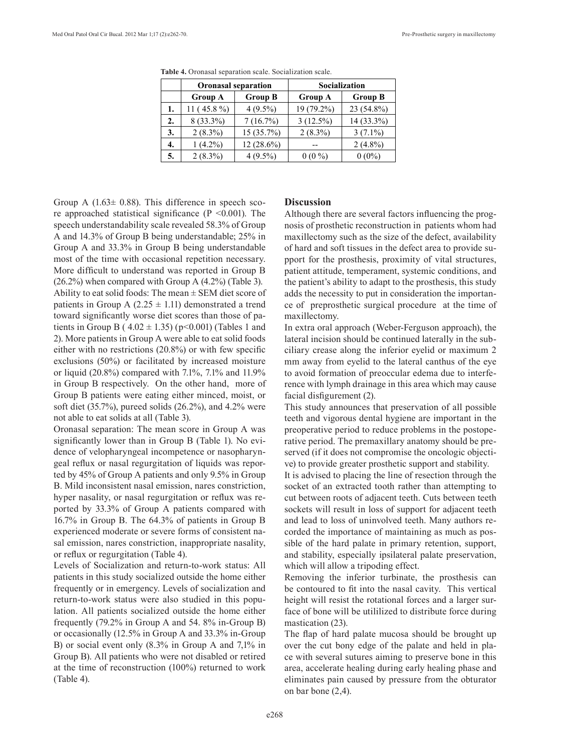|    | Tuote II Ottimoni ovputunion ovute. Dovimilanton ovute. |                |                |                |  |  |  |  |
|----|---------------------------------------------------------|----------------|----------------|----------------|--|--|--|--|
|    | <b>Oronasal separation</b>                              |                | Socialization  |                |  |  |  |  |
|    | <b>Group A</b>                                          | <b>Group B</b> | <b>Group A</b> | <b>Group B</b> |  |  |  |  |
| 1. | 11 ( $45.8\%$ )                                         | $4(9.5\%)$     | 19 (79.2%)     | 23 (54.8%)     |  |  |  |  |
| 2. | $8(33.3\%)$                                             | 7(16.7%)       | 3(12.5%)       | 14 (33.3%)     |  |  |  |  |
| 3. | $2(8.3\%)$                                              | 15 (35.7%)     | $2(8.3\%)$     | $3(7.1\%)$     |  |  |  |  |
| 4. | $1(4.2\%)$                                              | 12 (28.6%)     |                | $2(4.8\%)$     |  |  |  |  |
| 5. | $2(8.3\%)$                                              | $4(9.5\%)$     | $0(0\%)$       | $0(0\%)$       |  |  |  |  |

**Table 4.** Oronasal separation scale. Socialization scale.

Group A  $(1.63 \pm 0.88)$ . This difference in speech score approached statistical significance ( $P \le 0.001$ ). The speech understandability scale revealed 58.3% of Group A and 14.3% of Group B being understandable; 25% in Group A and 33.3% in Group B being understandable most of the time with occasional repetition necessary. More difficult to understand was reported in Group B (26.2%) when compared with Group A (4.2%) (Table 3). Ability to eat solid foods: The mean  $\pm$  SEM diet score of patients in Group A  $(2.25 \pm 1.11)$  demonstrated a trend toward significantly worse diet scores than those of patients in Group B ( $4.02 \pm 1.35$ ) ( $p<0.001$ ) (Tables 1 and 2). More patients in Group A were able to eat solid foods either with no restrictions (20.8%) or with few specific exclusions (50%) or facilitated by increased moisture or liquid (20.8%) compared with 7.1%, 7.1% and 11.9% in Group B respectively. On the other hand, more of Group B patients were eating either minced, moist, or soft diet (35.7%), pureed solids (26.2%), and 4.2% were not able to eat solids at all (Table 3).

Oronasal separation: The mean score in Group A was significantly lower than in Group B (Table 1). No evidence of velopharyngeal incompetence or nasopharyngeal reflux or nasal regurgitation of liquids was reported by 45% of Group A patients and only 9.5% in Group B. Mild inconsistent nasal emission, nares constriction, hyper nasality, or nasal regurgitation or reflux was reported by 33.3% of Group A patients compared with 16.7% in Group B. The 64.3% of patients in Group B experienced moderate or severe forms of consistent nasal emission, nares constriction, inappropriate nasality, or reflux or regurgitation (Table 4).

Levels of Socialization and return-to-work status: All patients in this study socialized outside the home either frequently or in emergency. Levels of socialization and return-to-work status were also studied in this population. All patients socialized outside the home either frequently (79.2% in Group A and 54. 8% in-Group B) or occasionally (12.5% in Group A and 33.3% in-Group B) or social event only (8.3% in Group A and 7,1% in Group B). All patients who were not disabled or retired at the time of reconstruction (100%) returned to work (Table 4).

## **Discussion**

Although there are several factors influencing the prognosis of prosthetic reconstruction in patients whom had maxillectomy such as the size of the defect, availability of hard and soft tissues in the defect area to provide support for the prosthesis, proximity of vital structures, patient attitude, temperament, systemic conditions, and the patient's ability to adapt to the prosthesis, this study adds the necessity to put in consideration the importance of preprosthetic surgical procedure at the time of maxillectomy.

In extra oral approach (Weber-Ferguson approach), the lateral incision should be continued laterally in the subciliary crease along the inferior eyelid or maximum 2 mm away from eyelid to the lateral canthus of the eye to avoid formation of preoccular edema due to interference with lymph drainage in this area which may cause facial disfigurement (2).

This study announces that preservation of all possible teeth and vigorous dental hygiene are important in the preoperative period to reduce problems in the postoperative period. The premaxillary anatomy should be preserved (if it does not compromise the oncologic objective) to provide greater prosthetic support and stability.

It is advised to placing the line of resection through the socket of an extracted tooth rather than attempting to cut between roots of adjacent teeth. Cuts between teeth sockets will result in loss of support for adjacent teeth and lead to loss of uninvolved teeth. Many authors recorded the importance of maintaining as much as possible of the hard palate in primary retention, support, and stability, especially ipsilateral palate preservation, which will allow a tripoding effect.

Removing the inferior turbinate, the prosthesis can be contoured to fit into the nasal cavity. This vertical height will resist the rotational forces and a larger surface of bone will be utililized to distribute force during mastication  $(23)$ .

The flap of hard palate mucosa should be brought up over the cut bony edge of the palate and held in place with several sutures aiming to preserve bone in this area, accelerate healing during early healing phase and eliminates pain caused by pressure from the obturator on bar bone (2,4).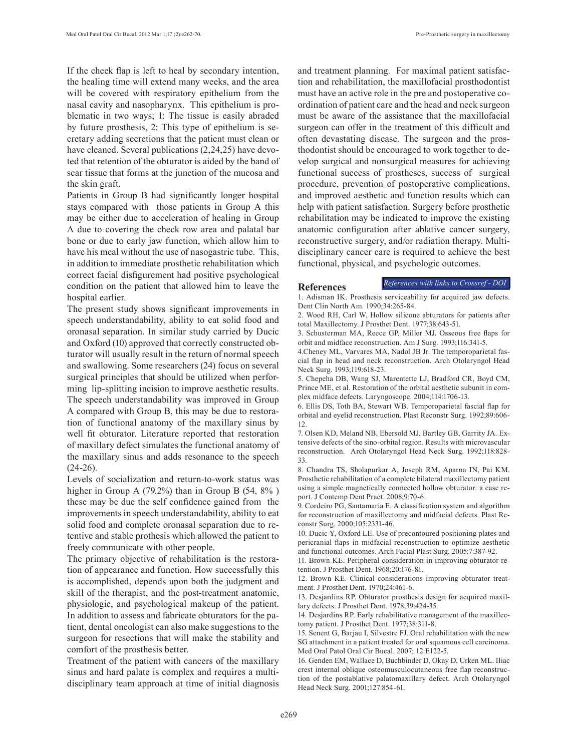If the cheek flap is left to heal by secondary intention, the healing time will extend many weeks, and the area will be covered with respiratory epithelium from the nasal cavity and nasopharynx. This epithelium is problematic in two ways; 1: The tissue is easily abraded by future prosthesis, 2: This type of epithelium is secretary adding secretions that the patient must clean or have cleaned. Several publications (2,24,25) have devoted that retention of the obturator is aided by the band of scar tissue that forms at the junction of the mucosa and the skin graft.

Patients in Group B had significantly longer hospital stays compared with those patients in Group A this may be either due to acceleration of healing in Group A due to covering the check row area and palatal bar bone or due to early jaw function, which allow him to have his meal without the use of nasogastric tube. This, in addition to immediate prosthetic rehabilitation which correct facial disfigurement had positive psychological condition on the patient that allowed him to leave the hospital earlier.

The present study shows significant improvements in speech understandability, ability to eat solid food and oronasal separation. In similar study carried by Ducic and Oxford (10) approved that correctly constructed obturator will usually result in the return of normal speech and swallowing. Some researchers (24) focus on several surgical principles that should be utilized when performing lip-splitting incision to improve aesthetic results. The speech understandability was improved in Group A compared with Group B, this may be due to restoration of functional anatomy of the maxillary sinus by well fit obturator. Literature reported that restoration of maxillary defect simulates the functional anatomy of the maxillary sinus and adds resonance to the speech  $(24-26)$ .

Levels of socialization and return-to-work status was higher in Group A (79.2%) than in Group B (54, 8%) these may be due the self confidence gained from the improvements in speech understandability, ability to eat solid food and complete oronasal separation due to retentive and stable prothesis which allowed the patient to freely communicate with other people.

The primary objective of rehabilitation is the restoration of appearance and function. How successfully this is accomplished, depends upon both the judgment and skill of the therapist, and the post-treatment anatomic, physiologic, and psychological makeup of the patient. In addition to assess and fabricate obturators for the patient, dental oncologist can also make suggestions to the surgeon for resections that will make the stability and comfort of the prosthesis better.

Treatment of the patient with cancers of the maxillary sinus and hard palate is complex and requires a multidisciplinary team approach at time of initial diagnosis and treatment planning. For maximal patient satisfaction and rehabilitation, the maxillofacial prosthodontist must have an active role in the pre and postoperative coordination of patient care and the head and neck surgeon must be aware of the assistance that the maxillofacial surgeon can offer in the treatment of this difficult and often devastating disease. The surgeon and the prosthodontist should be encouraged to work together to develop surgical and nonsurgical measures for achieving functional success of prostheses, success of surgical procedure, prevention of postoperative complications, and improved aesthetic and function results which can help with patient satisfaction. Surgery before prosthetic rehabilitation may be indicated to improve the existing anatomic configuration after ablative cancer surgery, reconstructive surgery, and/or radiation therapy. Multidisciplinary cancer care is required to achieve the best functional, physical, and psychologic outcomes.

#### **References**

#### *[References with links to Crossref - DOI](http://www.medicinaoral.com/ref/17482.htm)*

1. Adisman IK. Prosthesis serviceability for acquired jaw defects. Dent Clin North Am. 1990;34:265-84.

2. Wood RH, Carl W. Hollow silicone abturators for patients after total Maxillectomy. J Prosthet Dent. 1977;38:643-51.

3. Schusterman MA, Reece GP, Miller MJ. Osseous free flaps for orbit and midface reconstruction. Am J Surg. 1993;116:341-5.

4.Cheney ML, Varvares MA, Nadol JB Jr. The temporoparietal fascial flap in head and neck reconstruction. Arch Otolaryngol Head Neck Surg. 1993;119:618-23.

5. Chepeha DB, Wang SJ, Marentette LJ, Bradford CR, Boyd CM, Prince ME, et al. Restoration of the orbital aesthetic subunit in complex midface defects. Laryngoscope. 2004;114:1706-13.

6. Ellis DS, Toth BA, Stewart WB. Temporoparietal fascial flap for orbital and eyelid reconstruction. Plast Reconstr Surg. 1992;89:606- 12.

7. Olsen KD, Meland NB, Ebersold MJ, Bartley GB, Garrity JA. Extensive defects of the sino-orbital region. Results with microvascular reconstruction. Arch Otolaryngol Head Neck Surg. 1992;118:828- 33.

8. Chandra TS, Sholapurkar A, Joseph RM, Aparna IN, Pai KM. Prosthetic rehabilitation of a complete bilateral maxillectomy patient using a simple magnetically connected hollow obturator: a case report. J Contemp Dent Pract. 2008;9:70-6.

9. Cordeiro PG, Santamaria E. A classification system and algorithm for reconstruction of maxillectomy and midfacial defects. Plast Reconstr Surg. 2000;105:2331-46.

10. Ducic Y, Oxford LE. Use of precontoured positioning plates and pericranial flaps in midfacial reconstruction to optimize aesthetic and functional outcomes. Arch Facial Plast Surg. 2005;7:387-92.

11. Brown KE. Peripheral consideration in improving obturator retention. J Prosthet Dent. 1968;20:176-81.

12. Brown KE. Clinical considerations improving obturator treatment. J Prosthet Dent. 1970;24:461-6.

13. Desjardins RP. Obturator prosthesis design for acquired maxillary defects. J Prosthet Dent. 1978;39:424-35.

14. Desjardins RP. Early rehabilitative management of the maxillectomy patient. J Prosthet Dent. 1977;38:311-8.

15. Senent G, Barjau I, Silvestre FJ. Oral rehabilitation with the new SG attachment in a patient treated for oral squamous cell carcinoma. Med Oral Patol Oral Cir Bucal. 2007; 12:E122-5.

16. Genden EM, Wallace D, Buchbinder D, Okay D, Urken ML. Iliac crest internal oblique osteomusculocutaneous free flap reconstruction of the postablative palatomaxillary defect. Arch Otolaryngol Head Neck Surg. 2001;127:854-61.